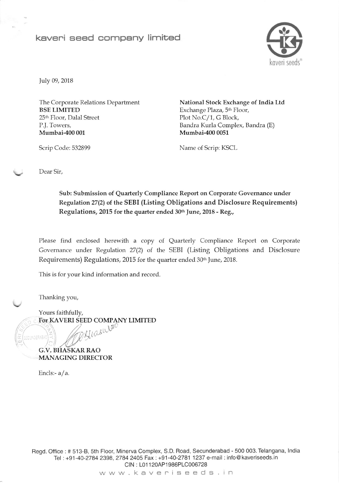## keveni seed cornpany limited



July 09, 2018

The Corporate Relations Department BSE LIMITED 25<sup>th</sup> Floor, Dalal Street P.J. Towers, Mumbai-400 001

National Stock Exchange of India Ltd Exchange Plaza, 5<sup>th</sup> Floor, Plot No.C/I, G Block, Bandra Kurla Complex, Bandra (E) Mumbai-4O0 0051

Scrip Code: 532899 Name of Scrip: KSCL

Dear Sir,

Sub: Submission of Quarterly Compliance Report on Corporate Governance under Regulation 27(2) of the SEBI (Listing Obligations and Disclosure Requirements) Regulations, 2015 for the quarter ended 30th June, 2018 - Reg.,

Please find enclosed herewith a copy of Quarterly Compliance Report on Corporate Governance under Regulation 27(2) of the SEBI (Listing Obligations and Disclosure Requirements) Regulations, 2015 for the quarter ended 30<sup>th</sup> June, 2018.

This is for your kind information and record.

Tharking you,

Yours faithfully, For KAVERI SEED COMPANY LIMITED Hiashlao

G.V. BHASKAR RAO MANAGING DIRECTOR

Encls:- a/a.

 $\sqrt{\frac{1}{2}}$ 

Begd. Office: # 513-8, 5th Floor, Minerva Complex, S.D. Road, Secunderabad - 500 003. Telangana, lndia Tel: +91-40-2784 2398, 2784 2405 Fax: +91-40-2781 1237 e-mail: info@kaveriseeds.in CIN : L01120AP1986PLC006728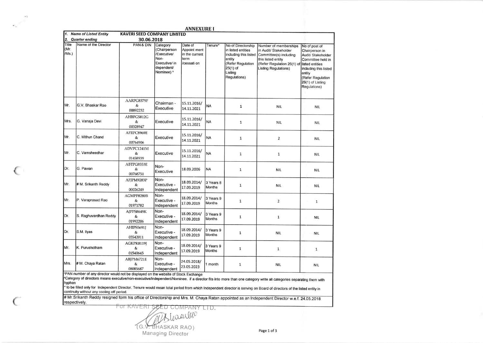| 1.                     | <b>Name of Listed Entity</b> | <b>KAVERI SEED COMPANY LIMITED</b>                                                                                             |                                                                                              |                                                                  |                            |                                                                                                                                           |                                                                                                                                                             |                                                                                                                                                                                           |
|------------------------|------------------------------|--------------------------------------------------------------------------------------------------------------------------------|----------------------------------------------------------------------------------------------|------------------------------------------------------------------|----------------------------|-------------------------------------------------------------------------------------------------------------------------------------------|-------------------------------------------------------------------------------------------------------------------------------------------------------------|-------------------------------------------------------------------------------------------------------------------------------------------------------------------------------------------|
| 2.                     | <b>Quarter ending</b>        | 30.06.2018                                                                                                                     |                                                                                              |                                                                  |                            |                                                                                                                                           |                                                                                                                                                             |                                                                                                                                                                                           |
| Title<br>(Mr.<br>/Ms.) | Name of the Director         | PAN & DIN                                                                                                                      | Category<br>(Chairperson<br>/Executive/<br>Non-<br>Executive/ in<br>dependent/<br>Nominee) * | Date of<br>Appoint ment<br>in the current<br>term<br>/cessati on | Tenure*                    | No of Directorship<br>in listed entities<br>including this listed<br>entity<br>(Refer Regulation<br>$25(1)$ of<br>Listing<br>Regulations) | Number of memberships<br>in Audit/ Stakeholder<br>Committee(s) including<br>this listed entity<br>(Refer Regulation 26(1) of<br><b>Listing Regulations)</b> | No of post of<br>Chairperson in<br>Audit/ Stakeholder<br>Committee held in<br>listed entities<br>including this listed<br>entity<br>(Refer Regulation<br>26(1) of Listing<br>Regulations) |
| Mr.                    | G.V. Bhaskar Rao             | AARPG8379F<br>&<br>00892232                                                                                                    | Chairman -<br>Executive                                                                      | 15.11.2016/<br>14.11.2021                                        | <b>NA</b>                  | $\mathbf 1$                                                                                                                               | <b>NIL</b>                                                                                                                                                  | <b>NIL</b>                                                                                                                                                                                |
| Mrs.                   | G. Vanaja Devi               | AHBPG5812G<br>&<br>00328947                                                                                                    | Executive                                                                                    | 15.11.2016/<br>14.11.2021                                        | <b>NA</b>                  | $\mathbf{1}$                                                                                                                              | <b>NIL</b>                                                                                                                                                  | <b>NIL</b>                                                                                                                                                                                |
| Mr.                    | C. Mithun Chand              | AFRPC8969E<br>$\&$<br>00764906                                                                                                 | <b>Executive</b>                                                                             | 15.11.2016/<br>14.11.2021                                        | <b>NA</b>                  | $\mathbf 1$                                                                                                                               | $\overline{2}$                                                                                                                                              | <b>NIL</b>                                                                                                                                                                                |
| Mr.                    | C. Vamsheedhar               | ADVPC1241M<br>&<br>01458939                                                                                                    | Executive                                                                                    | 15.11.2016/<br>14.11.2021                                        | <b>NA</b>                  | $\mathbf{1}$                                                                                                                              | $\mathbf 1$                                                                                                                                                 | <b>NIL</b>                                                                                                                                                                                |
| Dr.                    | G. Pawan                     | ABTPG8553E<br>&<br>00768751                                                                                                    | Non-<br>Executive                                                                            | 18.09.2006                                                       | <b>NA</b>                  | $\mathbf{1}$                                                                                                                              | <b>NIL</b>                                                                                                                                                  | <b>NIL</b>                                                                                                                                                                                |
| Mr.                    | # M. Srikanth Reddy          | AFJPM9283P<br>&<br>00026249                                                                                                    | Non-<br>Executive -<br>Independent                                                           | 18.09.2014/<br>17.09.2019                                        | 3 Years 8<br><b>Months</b> | $\mathbf{1}$                                                                                                                              | <b>NIL</b>                                                                                                                                                  | <b>NIL</b>                                                                                                                                                                                |
| Mr.                    | P. Varaprasad Rao            | AGMPP8280B<br>&<br>01971782                                                                                                    | Non-<br>Executive -<br>Independent                                                           | 18.09.2014/<br>17.09.2019                                        | 3 Years 9<br><b>Months</b> | $\mathbf 1$                                                                                                                               | $\overline{2}$                                                                                                                                              | $\mathbf{1}$                                                                                                                                                                              |
| Dr.                    | S. Raghuvardhan Reddy        | AJPPS8649K<br>&<br>01992206                                                                                                    | Non-<br>Executive -<br>Independent                                                           | 18.09.2014/<br>17.09.2019                                        | 3 Years 9<br><b>Months</b> | $\mathbf{1}$                                                                                                                              | $\mathbf 1$                                                                                                                                                 | <b>NIL</b>                                                                                                                                                                                |
| Dr.                    | S.M. Ilyas                   | AHIPS5691J<br>&<br>03542011                                                                                                    | Non-<br>Executive -<br>Independent                                                           | 18.09.2014/<br>17.09.2019                                        | 3 Years 9<br><b>Months</b> | $\mathbf{1}$                                                                                                                              | <b>NIL</b>                                                                                                                                                  | <b>NIL</b>                                                                                                                                                                                |
| Mr.                    | K. Purushotham               | AGKPK8119I<br>&<br>01540645                                                                                                    | Non-<br>Executive -<br>Independent                                                           | 18.09.2014/<br>17.09.2019                                        | 3 Years 9<br><b>Months</b> | $\mathbf{1}$                                                                                                                              | $\mathbf{1}$                                                                                                                                                | $\mathbf 1$                                                                                                                                                                               |
| Mrs.                   | # M. Chaya Ratan             | ABJPM6721E<br>&<br>08085687<br><sup>5</sup> PAN number of any director would not be displayed on the website of Stock Exchange | Non-<br>Executive -<br>Independent                                                           | 24.05.2018/<br>23.05.2023                                        | 1 month                    | $\mathbf{1}$                                                                                                                              | <b>NIL</b>                                                                                                                                                  | <b>NIL</b>                                                                                                                                                                                |

hyphen \* to be filled only for Independent Director. Tenure would mean total period from which Independent director is serving on Board of directors of the listed entity in continuity without any cooling off period.

# Mr. Srikanth Reddy resigned form his office of Directorship and Mrs. M. Chaya Ratan appointed as an Independent Director w.e.f. 24.05.2018 respectively

FOT KAVERI ŞEED COMPANY LID. Whisenles

(G.V. BHASKAR RAO)

Managing Director

 $, 1$ 

 $\epsilon$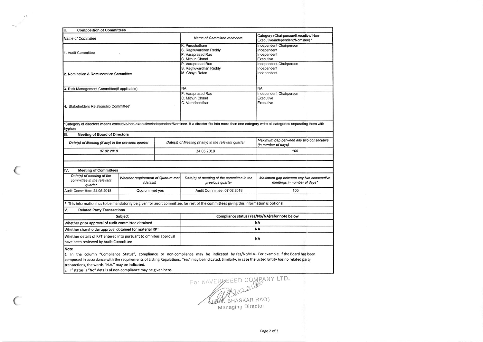| <b>Composition of Committees</b><br>II.                                                                             |         |  |                                                                                                                                                                    |                                                                            |  |  |
|---------------------------------------------------------------------------------------------------------------------|---------|--|--------------------------------------------------------------------------------------------------------------------------------------------------------------------|----------------------------------------------------------------------------|--|--|
| <b>Name of Committee</b>                                                                                            |         |  | Name of Committee members                                                                                                                                          | Category (Chairperson/Executive/ Non-<br>Executive/independent/Nominee) \$ |  |  |
| 1. Audit Committee                                                                                                  |         |  | K. Purushotham<br>S. Raghuvardhan Reddy<br>P. Varaprasad Rao<br>C. Mithun Chand                                                                                    | Independent-Chairperson<br>Independent<br>Independent<br>Executive         |  |  |
| 2. Nomination & Remuneration Committee                                                                              |         |  | P. Varaprasad Rao<br>S. Raghuvardhan Reddy<br>M. Chaya Ratan                                                                                                       | Independent-Chairperson<br>Independent<br>Independent                      |  |  |
| 3. Risk Management Committee(if applicable)                                                                         |         |  | <b>NA</b>                                                                                                                                                          | <b>NA</b>                                                                  |  |  |
| 4. Stakeholders Relationship Committee'                                                                             |         |  | P. Varaprasad Rao<br>C. Mithun Chand<br>C. Vamsheedhar                                                                                                             | Independent-Chairperson<br>Executive<br>Executive                          |  |  |
| hyphen<br><b>Meeting of Board of Directors</b><br>Ш.                                                                |         |  | *Category of directors means executive/non-executive/independent/Nominee. If a director fits into more than one category write all categories separating them with |                                                                            |  |  |
| Date(s) of Meeting (if any) in the previous quarter                                                                 |         |  | Date(s) of Meeting (if any) in the relevant quarter                                                                                                                | Maximum gap between any two consecutive<br>(in number of days)             |  |  |
| 07.02.2018                                                                                                          |         |  | 24.05.2018                                                                                                                                                         | 105                                                                        |  |  |
|                                                                                                                     |         |  |                                                                                                                                                                    |                                                                            |  |  |
| IV.<br><b>Meeting of Committees</b>                                                                                 |         |  |                                                                                                                                                                    |                                                                            |  |  |
| Date(s) of meeting of the<br>Whether requirement of Quorum met<br>committee in the relevant<br>(details)<br>quarter |         |  | Date(s) of meeting of the committee in the<br>previous quarter                                                                                                     | Maximum gap between any two consecutive<br>meetings in number of days*     |  |  |
| Audit Committee: 24.05.2018<br>Quorum met-yes                                                                       |         |  | Audit Committee: 07.02.2018                                                                                                                                        | 105                                                                        |  |  |
|                                                                                                                     |         |  | This information has to be mandatorily be given for audit committee, for rest of the committees giving this information is optional                                |                                                                            |  |  |
| V.<br><b>Related Party Transactions</b>                                                                             |         |  |                                                                                                                                                                    |                                                                            |  |  |
|                                                                                                                     | Subject |  |                                                                                                                                                                    | Compliance status (Yes/No/NA)refer note below                              |  |  |
| Whether prior approval of audit committee obtained                                                                  |         |  | <b>NA</b>                                                                                                                                                          |                                                                            |  |  |
| Whether shareholder approval obtained for material RPT                                                              |         |  | <b>NA</b>                                                                                                                                                          |                                                                            |  |  |
| Whether details of RPT entered into pursuant to omnibus approval<br>have been reviewed by Audit Committee           |         |  | <b>NA</b>                                                                                                                                                          |                                                                            |  |  |
| <b>Note</b>                                                                                                         |         |  |                                                                                                                                                                    |                                                                            |  |  |

1 In the column "Compliance Status", compliance or non-compliance may be indicated by Yes/No/N.A.. For example, if the Board has been composed in accordance with the requirements of Listing Regulations, "Yes" may be indicated. Similarly, in case the Listed Entity has no related party transactions, the words "N.A." may be indicated.

If status is "No" details of non-compliance may be given here.

 $\rightarrow$ 

FOR KAVERUSEED COMPANY LTD. Managing Director